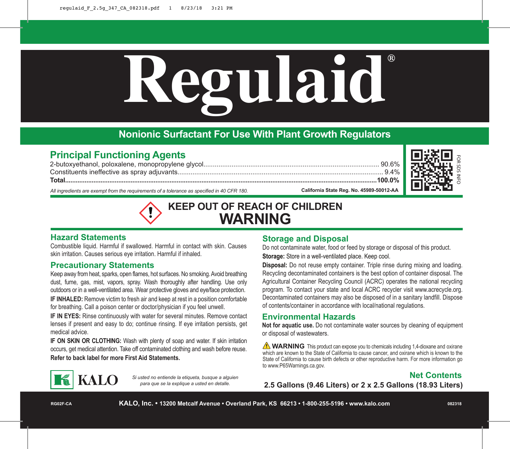# **Regulaid ®**

## **Nonionic Surfactant For Use With Plant Growth Regulators**

### **Principal Functioning Agents**

2-butoxyethanol, poloxalene, monopropylene glycol.............................................................................................. 90.6% Constituents ineffective as spray adjuvants.............................................................................................................. 9.4% **Total................................................................................................................................................................................100.0%** *All ingredients are exempt from the requirements of a tolerance as specified in 40 CFR 180.* **California State Reg. No. 45989-50012-AA** 



## **KEEP OUT OF REACH OF CHILDREN WARNING**

#### **Hazard Statements**

Combustible liquid. Harmful if swallowed. Harmful in contact with skin. Causes skin irritation. Causes serious eye irritation. Harmful if inhaled.

#### **Precautionary Statements**

**KALO** 

Keep away from heat, sparks, open flames, hot surfaces. No smoking. Avoid breathing dust, fume, gas, mist, vapors, spray. Wash thoroughly after handling. Use only outdoors or in a well-ventilated area. Wear protective gloves and eye/face protection. **IF INHALED:** Remove victim to fresh air and keep at rest in a position comfortable for breathing. Call a poison center or doctor/physician if you feel unwell.

**IF IN EYES:** Rinse continuously with water for several minutes. Remove contact lenses if present and easy to do; continue rinsing. If eye irritation persists, get medical advice.

**IF ON SKIN OR CLOTHING:** Wash with plenty of soap and water. If skin irritation occurs, get medical attention. Take off contaminated clothing and wash before reuse. **Refer to back label for more First Aid Statements.**

> *Si usted no entiende la etiqueta, busque a alguien para que se la explique a usted en detalle.*

#### **Storage and Disposal**

Do not contaminate water, food or feed by storage or disposal of this product. **Storage:** Store in a well-ventilated place. Keep cool.

**Disposal:** Do not reuse empty container. Triple rinse during mixing and loading. Recycling decontaminated containers is the best option of container disposal. The Agricultural Container Recycling Council (ACRC) operates the national recycling program. To contact your state and local ACRC recycler visit www.acrecycle.org. Decontaminated containers may also be disposed of in a sanitary landfill. Dispose of contents/container in accordance with local/national regulations.

#### **Environmental Hazards**

**Not for aquatic use.** Do not contaminate water sources by cleaning of equipment or disposal of wastewaters.

**NARNING** This product can expose you to chemicals including 1,4-dioxane and oxirane which are known to the State of California to cause cancer, and oxirane which is known to the State of California to cause birth defects or other reproductive harm. For more information go to www.P65Warnings.ca.gov.



**2.5 Gallons (9.46 Liters) or 2 x 2.5 Gallons (18.93 Liters)**

**RG02F-CA**

**KALO, Inc. • 13200 Metcalf Avenue • Overland Park, KS 66213 • 1-800-255-5196 • www.kalo.com**